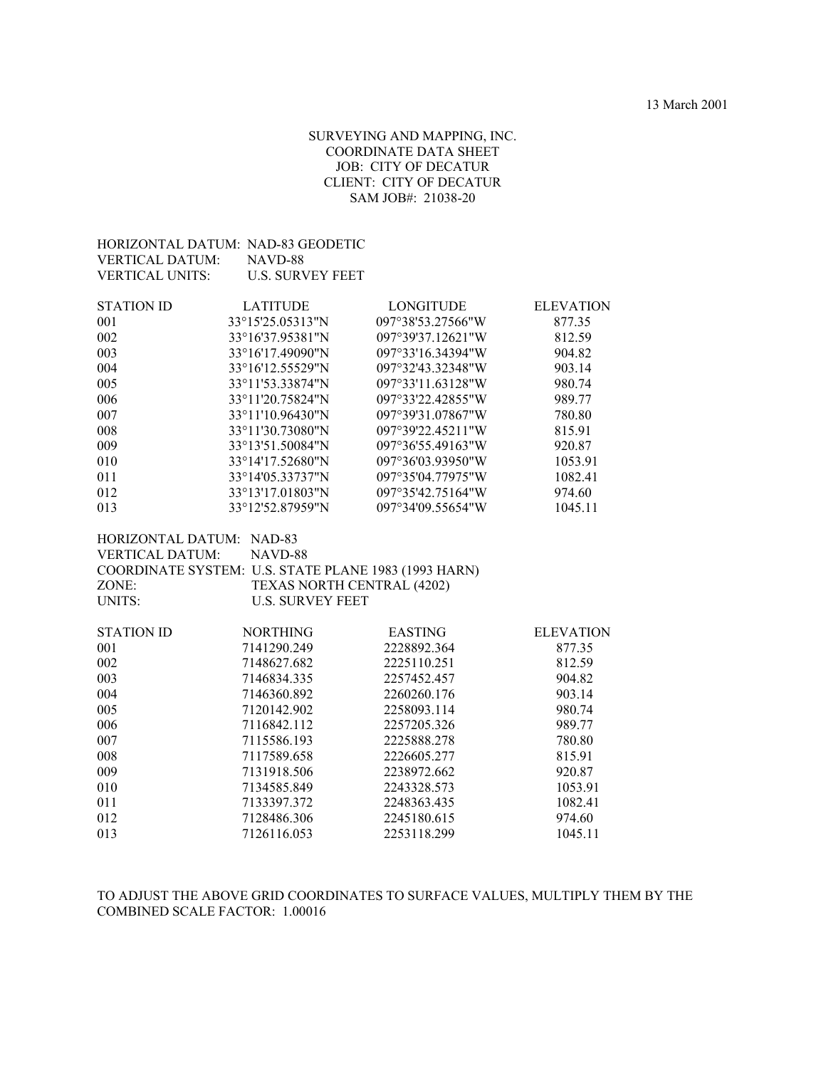#### SURVEYING AND MAPPING, INC. COORDINATE DATA SHEET JOB: CITY OF DECATUR CLIENT: CITY OF DECATUR SAM JOB#: 21038-20

| HORIZONTAL DATUM: NAD-83 GEODETIC                             |                                                       |                   |                  |
|---------------------------------------------------------------|-------------------------------------------------------|-------------------|------------------|
| <b>VERTICAL DATUM:</b>                                        | NAVD-88                                               |                   |                  |
| <b>VERTICAL UNITS:</b>                                        | <b>U.S. SURVEY FEET</b>                               |                   |                  |
| <b>STATION ID</b>                                             |                                                       |                   |                  |
|                                                               | <b>LATITUDE</b>                                       | <b>LONGITUDE</b>  | <b>ELEVATION</b> |
| 001                                                           | 33°15'25.05313"N                                      | 097°38'53.27566"W | 877.35           |
| 002                                                           | 33°16'37.95381"N                                      | 097°39'37.12621"W | 812.59           |
| 003                                                           | 33°16'17.49090"N                                      | 097°33'16.34394"W | 904.82           |
| 004                                                           | 33°16'12.55529"N                                      | 097°32'43.32348"W | 903.14           |
| 005                                                           | 33°11'53.33874"N                                      | 097°33'11.63128"W | 980.74           |
| 006                                                           | 33°11'20.75824"N                                      | 097°33'22.42855"W | 989.77           |
| 007                                                           | 33°11'10.96430"N                                      | 097°39'31.07867"W | 780.80           |
| 008                                                           | 33°11'30.73080"N                                      | 097°39'22.45211"W | 815.91           |
| 009                                                           | 33°13'51.50084"N                                      | 097°36'55.49163"W | 920.87           |
| 010                                                           | 33°14'17.52680"N                                      | 097°36'03.93950"W | 1053.91          |
| 011                                                           | 33°14'05.33737"N                                      | 097°35'04.77975"W | 1082.41          |
| 012                                                           | 33°13'17.01803"N                                      | 097°35'42.75164"W | 974.60           |
| 013                                                           | 33°12'52.87959"N                                      | 097°34'09.55654"W | 1045.11          |
| HORIZONTAL DATUM: NAD-83                                      |                                                       |                   |                  |
| <b>VERTICAL DATUM:</b>                                        | NAVD-88                                               |                   |                  |
|                                                               |                                                       |                   |                  |
| COORDINATE SYSTEM: U.S. STATE PLANE 1983 (1993 HARN)<br>ZONE: |                                                       |                   |                  |
| <b>UNITS:</b>                                                 | TEXAS NORTH CENTRAL (4202)<br><b>U.S. SURVEY FEET</b> |                   |                  |
|                                                               |                                                       |                   |                  |
| <b>STATION ID</b>                                             | <b>NORTHING</b>                                       | <b>EASTING</b>    | <b>ELEVATION</b> |
| 001                                                           | 7141290.249                                           | 2228892.364       | 877.35           |
| 002                                                           | 7148627.682                                           | 2225110.251       | 812.59           |
| 003                                                           | 7146834.335                                           | 2257452.457       | 904.82           |
| 004                                                           | 7146360.892                                           | 2260260.176       | 903.14           |
| 005                                                           | 7120142.902                                           | 2258093.114       | 980.74           |
| 006                                                           | 7116842.112                                           | 2257205.326       | 989.77           |
| 007                                                           | 7115586.193                                           | 2225888.278       | 780.80           |
| 008                                                           | 7117589.658                                           | 2226605.277       | 815.91           |
| 009                                                           | 7131918.506                                           | 2238972.662       | 920.87           |
| 010                                                           | 7134585.849                                           | 2243328.573       | 1053.91          |
| 011                                                           | 7133397.372                                           | 2248363.435       | 1082.41          |
| 012                                                           | 7128486.306                                           | 2245180.615       | 974.60           |
| 013                                                           | 7126116.053                                           | 2253118.299       | 1045.11          |

TO ADJUST THE ABOVE GRID COORDINATES TO SURFACE VALUES, MULTIPLY THEM BY THE COMBINED SCALE FACTOR: 1.00016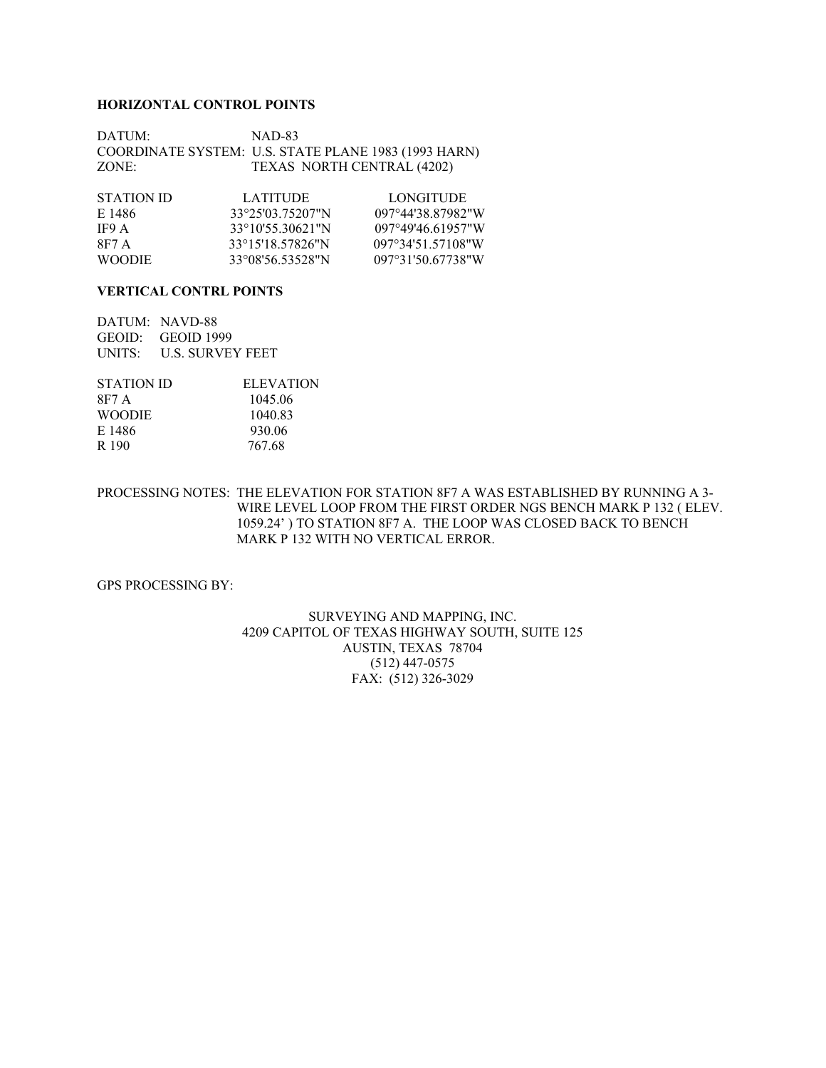#### **HORIZONTAL CONTROL POINTS**

DATUM: NAD-83 COORDINATE SYSTEM: U.S. STATE PLANE 1983 (1993 HARN) ZONE: TEXAS NORTH CENTRAL (4202)

| STATION ID    | <b>LATITUDE</b>  | LONGITUDE.        |
|---------------|------------------|-------------------|
| E 1486        | 33°25′03 75207″N | 097°44'38 87982"W |
| IF9 A         | 33°10'55.30621"N | 097°49'46 61957"W |
| 8F7 A         | 33°15'18.57826"N | 097°34'51.57108"W |
| <b>WOODIE</b> | 33°08'56.53528"N | 097°31'50 67738"W |

#### **VERTICAL CONTRL POINTS**

DATUM: NAVD-88 GEOID: GEOID 1999 UNITS: U.S. SURVEY FEET

| <b>ELEVATION</b> |
|------------------|
| 1045.06          |
| 1040.83          |
| 930.06           |
| 767.68           |
|                  |

#### PROCESSING NOTES: THE ELEVATION FOR STATION 8F7 A WAS ESTABLISHED BY RUNNING A 3- WIRE LEVEL LOOP FROM THE FIRST ORDER NGS BENCH MARK P 132 ( ELEV. 1059.24' ) TO STATION 8F7 A. THE LOOP WAS CLOSED BACK TO BENCH MARK P 132 WITH NO VERTICAL ERROR.

GPS PROCESSING BY:

#### SURVEYING AND MAPPING, INC. 4209 CAPITOL OF TEXAS HIGHWAY SOUTH, SUITE 125 AUSTIN, TEXAS 78704 (512) 447-0575 FAX: (512) 326-3029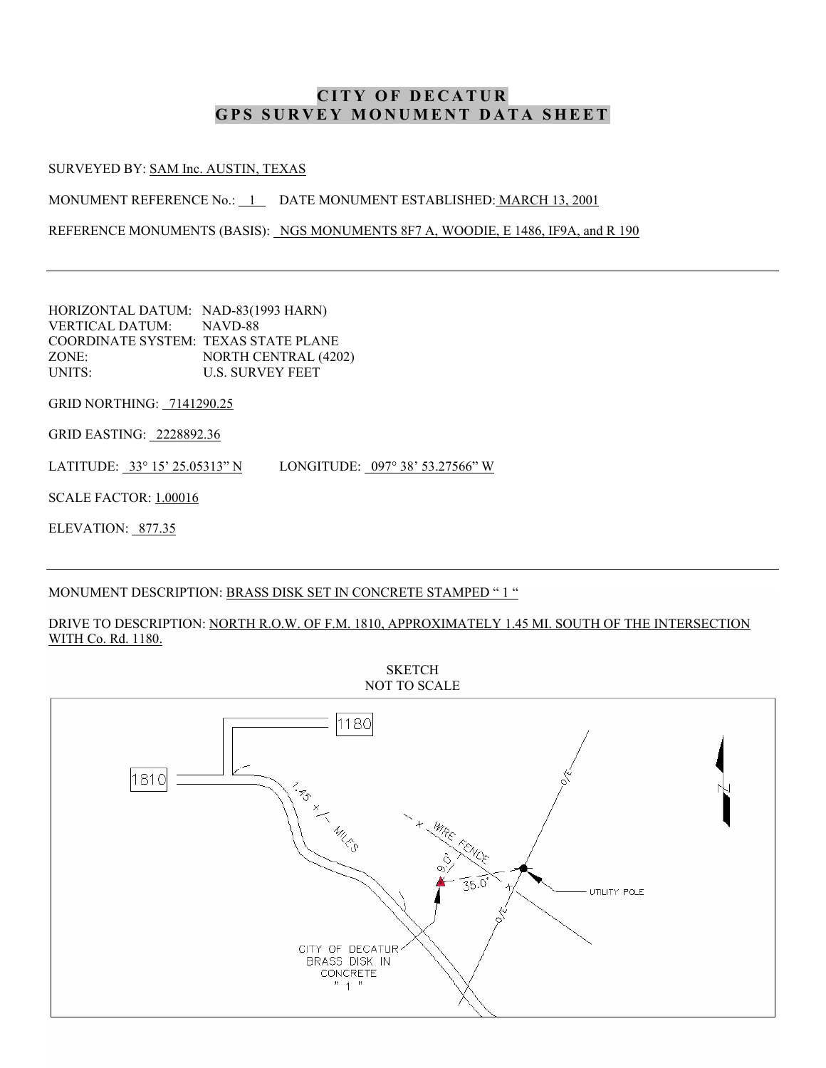SURVEYED BY: SAM Inc. AUSTIN, TEXAS

MONUMENT REFERENCE No.: 1 DATE MONUMENT ESTABLISHED: MARCH 13, 2001

REFERENCE MONUMENTS (BASIS): NGS MONUMENTS 8F7 A, WOODIE, E 1486, IF9A, and R 190

HORIZONTAL DATUM: NAD-83(1993 HARN) VERTICAL DATUM: NAVD-88 COORDINATE SYSTEM: TEXAS STATE PLANE ZONE: NORTH CENTRAL (4202) UNITS: U.S. SURVEY FEET

GRID NORTHING: 7141290.25

GRID EASTING: 2228892.36

LATITUDE: 33° 15' 25.05313" N LONGITUDE: 097° 38' 53.27566" W

SCALE FACTOR: 1.00016

ELEVATION: 877.35

#### MONUMENT DESCRIPTION: BRASS DISK SET IN CONCRETE STAMPED "1 "

#### DRIVE TO DESCRIPTION: NORTH R.O.W. OF F.M. 1810, APPROXIMATELY 1.45 MI. SOUTH OF THE INTERSECTION WITH Co. Rd. 1180.

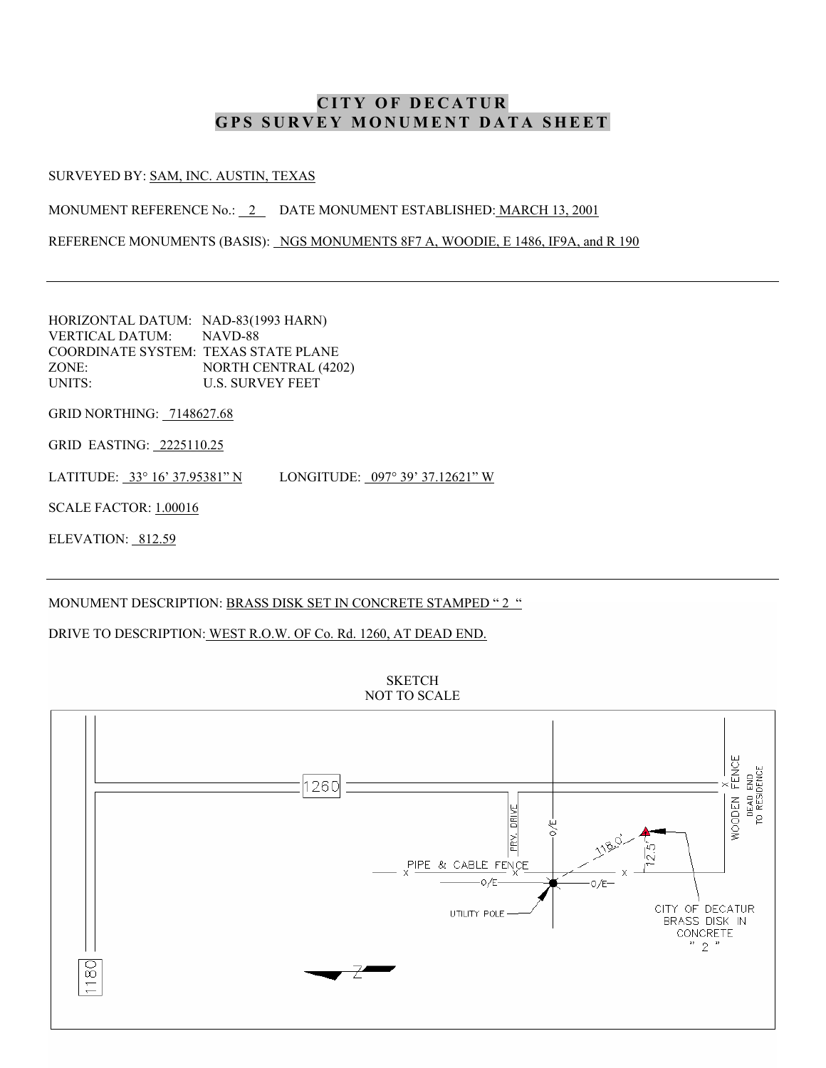#### SURVEYED BY: SAM, INC. AUSTIN, TEXAS

MONUMENT REFERENCE No.: 2 DATE MONUMENT ESTABLISHED: MARCH 13, 2001

REFERENCE MONUMENTS (BASIS): NGS MONUMENTS 8F7 A, WOODIE, E 1486, IF9A, and R 190

HORIZONTAL DATUM: NAD-83(1993 HARN) VERTICAL DATUM: NAVD-88 COORDINATE SYSTEM: TEXAS STATE PLANE ZONE: NORTH CENTRAL (4202) UNITS: U.S. SURVEY FEET

GRID NORTHING: 7148627.68

GRID EASTING: 2225110.25

LATITUDE: 33° 16' 37.95381" N LONGITUDE: 097° 39' 37.12621" W

SCALE FACTOR: 1.00016

ELEVATION: 812.59

#### MONUMENT DESCRIPTION: BRASS DISK SET IN CONCRETE STAMPED "2 "

#### DRIVE TO DESCRIPTION: WEST R.O.W. OF Co. Rd. 1260, AT DEAD END.



**SKETCH** NOT TO SCALE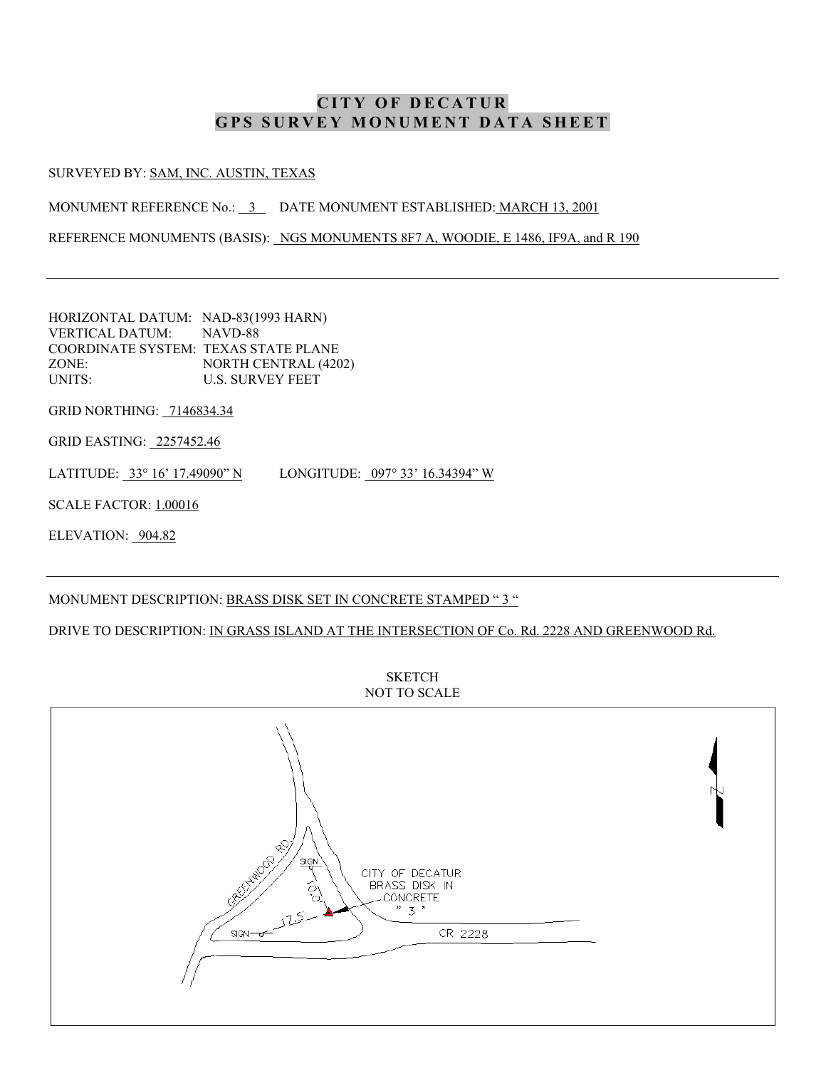#### SURVEYED BY: SAM, INC. AUSTIN, TEXAS

MONUMENT REFERENCE No.: 3 DATE MONUMENT ESTABLISHED: MARCH 13, 2001

REFERENCE MONUMENTS (BASIS): NGS MONUMENTS 8F7 A, WOODIE, E 1486, IF9A, and R 190

HORIZONTAL DATUM: NAD-83(1993 HARN) VERTICAL DATUM: NAVD-88 COORDINATE SYSTEM: TEXAS STATE PLANE ZONE: NORTH CENTRAL (4202) UNITS: U.S. SURVEY FEET

GRID NORTHING: 7146834.34

GRID EASTING: 2257452.46

LATITUDE: 33° 16' 17.49090" N LONGITUDE: 097° 33' 16.34394" W

SCALE FACTOR: 1.00016

ELEVATION: 904.82

### MONUMENT DESCRIPTION: BRASS DISK SET IN CONCRETE STAMPED "3 "

DRIVE TO DESCRIPTION: IN GRASS ISLAND AT THE INTERSECTION OF Co. Rd. 2228 AND GREENWOOD Rd.



**SKETCH** NOT TO SCALE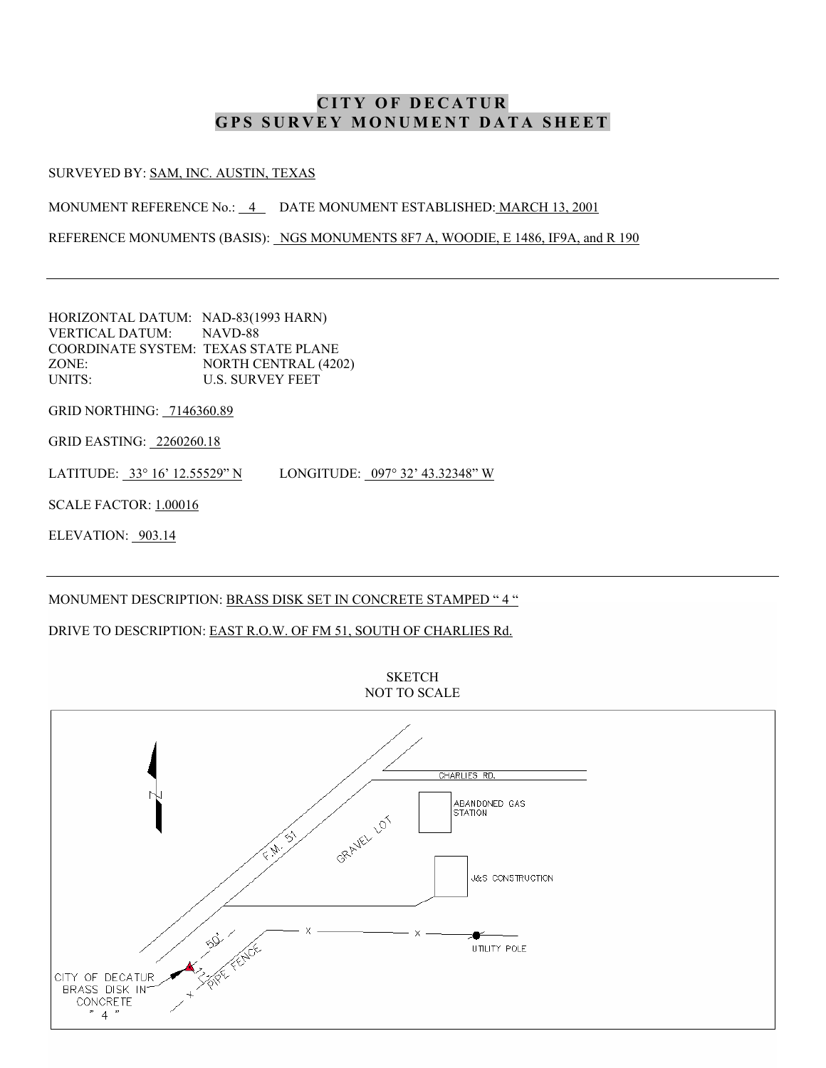#### SURVEYED BY: SAM, INC. AUSTIN, TEXAS

MONUMENT REFERENCE No.: 4 DATE MONUMENT ESTABLISHED: MARCH 13, 2001

REFERENCE MONUMENTS (BASIS): NGS MONUMENTS 8F7 A, WOODIE, E 1486, IF9A, and R 190

HORIZONTAL DATUM: NAD-83(1993 HARN) VERTICAL DATUM: NAVD-88 COORDINATE SYSTEM: TEXAS STATE PLANE ZONE: NORTH CENTRAL (4202) UNITS: U.S. SURVEY FEET

GRID NORTHING: 7146360.89

GRID EASTING: 2260260.18

LATITUDE: 33° 16' 12.55529" N LONGITUDE: 097° 32' 43.32348" W

SCALE FACTOR: 1.00016

ELEVATION: 903.14

#### MONUMENT DESCRIPTION: BRASS DISK SET IN CONCRETE STAMPED "4 "

### DRIVE TO DESCRIPTION: EAST R.O.W. OF FM 51, SOUTH OF CHARLIES Rd.

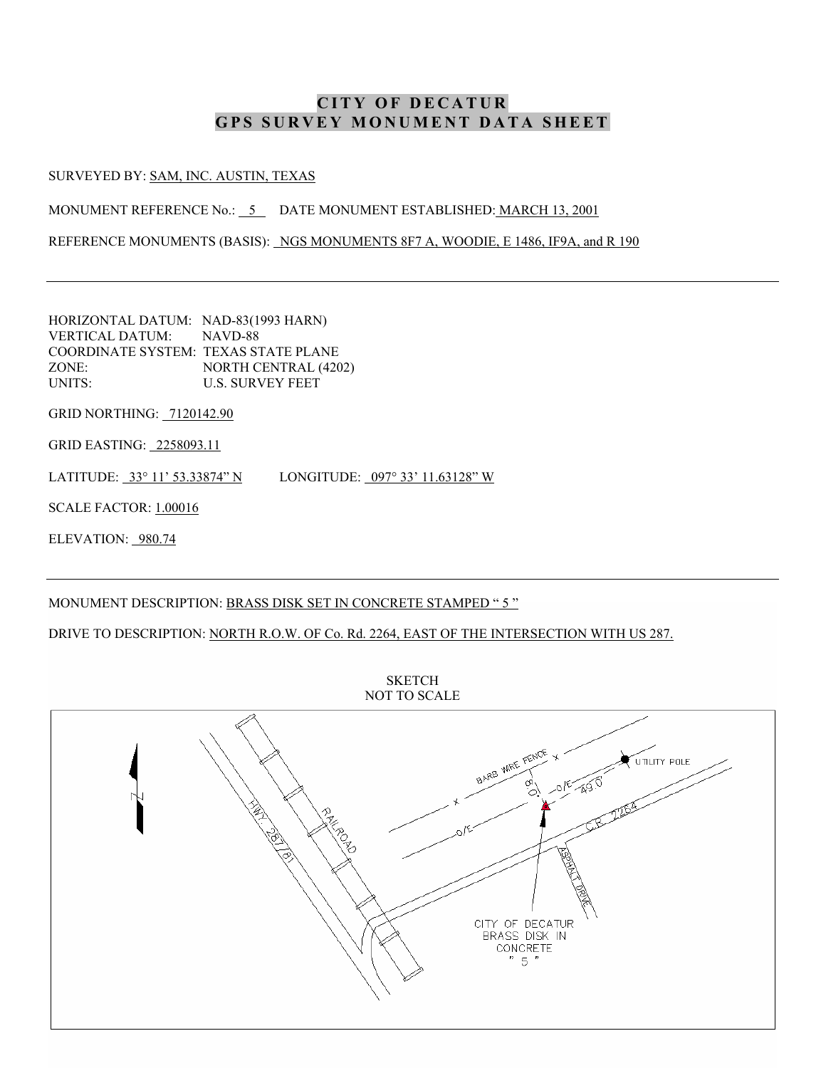SURVEYED BY: SAM, INC. AUSTIN, TEXAS

MONUMENT REFERENCE No.: 5 DATE MONUMENT ESTABLISHED: MARCH 13, 2001

REFERENCE MONUMENTS (BASIS): NGS MONUMENTS 8F7 A, WOODIE, E 1486, IF9A, and R 190

HORIZONTAL DATUM: NAD-83(1993 HARN) VERTICAL DATUM: NAVD-88 COORDINATE SYSTEM: TEXAS STATE PLANE ZONE: NORTH CENTRAL (4202) UNITS: U.S. SURVEY FEET

GRID NORTHING: 7120142.90

GRID EASTING: 2258093.11

LATITUDE: 33° 11' 53.33874" N LONGITUDE: 097° 33' 11.63128" W

SCALE FACTOR: 1.00016

ELEVATION: 980.74

### MONUMENT DESCRIPTION: BRASS DISK SET IN CONCRETE STAMPED "5 "

DRIVE TO DESCRIPTION: NORTH R.O.W. OF Co. Rd. 2264, EAST OF THE INTERSECTION WITH US 287.

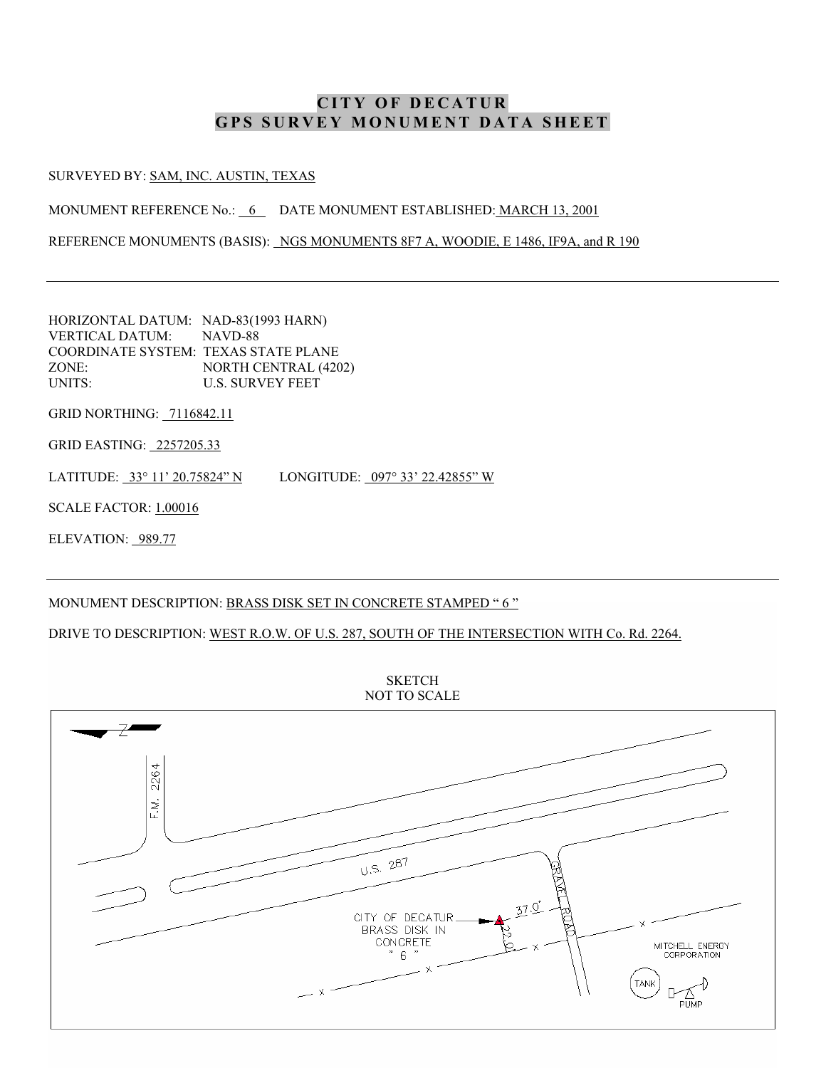SURVEYED BY: SAM, INC. AUSTIN, TEXAS

MONUMENT REFERENCE No.: 6 DATE MONUMENT ESTABLISHED: MARCH 13, 2001

REFERENCE MONUMENTS (BASIS): NGS MONUMENTS 8F7 A, WOODIE, E 1486, IF9A, and R 190

HORIZONTAL DATUM: NAD-83(1993 HARN) VERTICAL DATUM: NAVD-88 COORDINATE SYSTEM: TEXAS STATE PLANE ZONE: NORTH CENTRAL (4202) UNITS: U.S. SURVEY FEET

GRID NORTHING: 7116842.11

GRID EASTING: 2257205.33

LATITUDE: 33° 11' 20.75824" N LONGITUDE: 097° 33' 22.42855" W

SCALE FACTOR: 1.00016

ELEVATION: 989.77

### MONUMENT DESCRIPTION: BRASS DISK SET IN CONCRETE STAMPED "6 "

DRIVE TO DESCRIPTION: WEST R.O.W. OF U.S. 287, SOUTH OF THE INTERSECTION WITH Co. Rd. 2264.



**SKETCH** NOT TO SCALE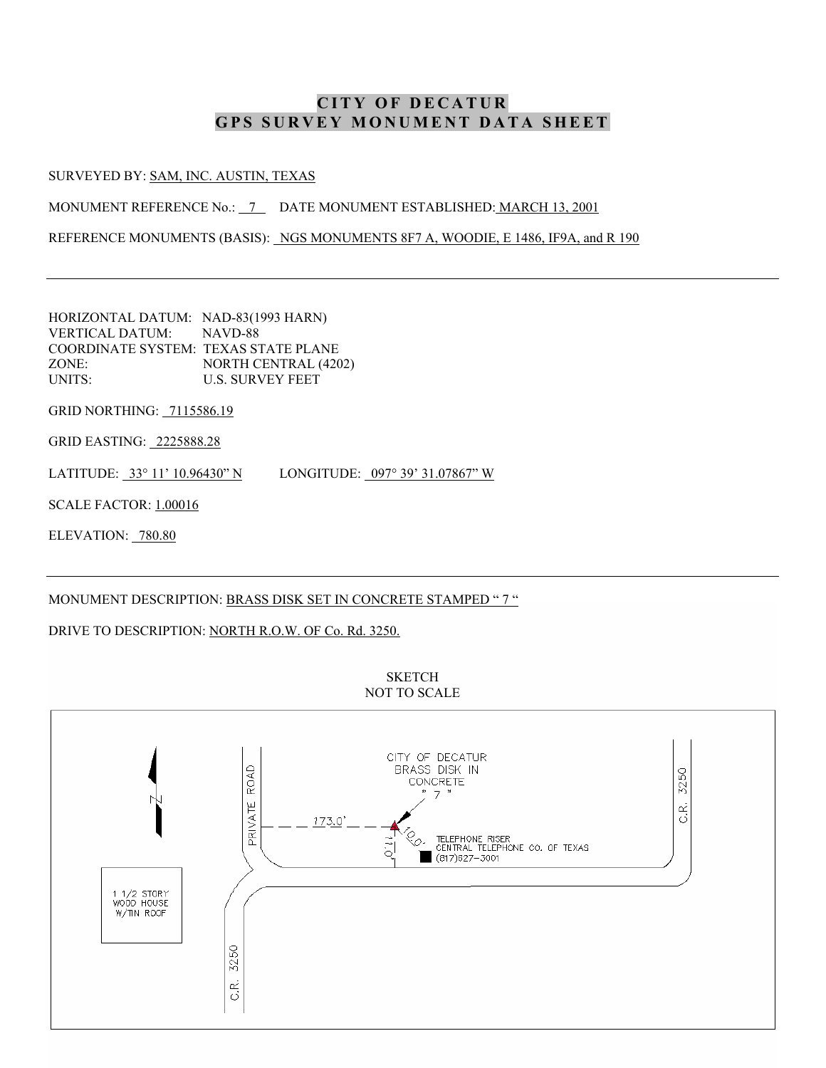#### SURVEYED BY: SAM, INC. AUSTIN, TEXAS

MONUMENT REFERENCE No.: 7 DATE MONUMENT ESTABLISHED: MARCH 13, 2001

REFERENCE MONUMENTS (BASIS): NGS MONUMENTS 8F7 A, WOODIE, E 1486, IF9A, and R 190

HORIZONTAL DATUM: NAD-83(1993 HARN) VERTICAL DATUM: NAVD-88 COORDINATE SYSTEM: TEXAS STATE PLANE ZONE: NORTH CENTRAL (4202) UNITS: U.S. SURVEY FEET

GRID NORTHING: 7115586.19

GRID EASTING: 2225888.28

LATITUDE: 33° 11' 10.96430" N LONGITUDE: 097° 39' 31.07867" W

SCALE FACTOR: 1.00016

ELEVATION: 780.80

#### MONUMENT DESCRIPTION: BRASS DISK SET IN CONCRETE STAMPED "7 "

### DRIVE TO DESCRIPTION: NORTH R.O.W. OF Co. Rd. 3250.



**SKETCH** NOT TO SCALE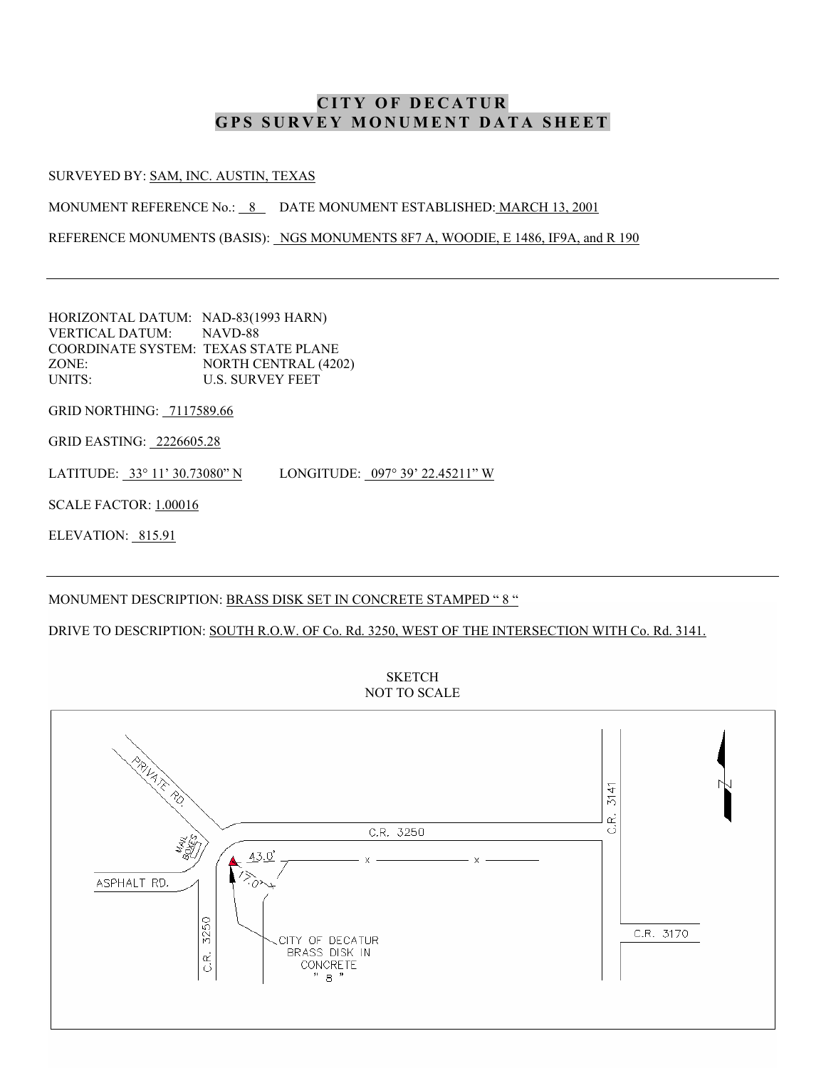#### SURVEYED BY: SAM, INC. AUSTIN, TEXAS

MONUMENT REFERENCE No.: 8 DATE MONUMENT ESTABLISHED: MARCH 13, 2001

REFERENCE MONUMENTS (BASIS): NGS MONUMENTS 8F7 A, WOODIE, E 1486, IF9A, and R 190

HORIZONTAL DATUM: NAD-83(1993 HARN) VERTICAL DATUM: NAVD-88 COORDINATE SYSTEM: TEXAS STATE PLANE ZONE: NORTH CENTRAL (4202) UNITS: U.S. SURVEY FEET

GRID NORTHING: 7117589.66

GRID EASTING: 2226605.28

LATITUDE: 33° 11' 30.73080" N LONGITUDE: 097° 39' 22.45211" W

SCALE FACTOR: 1.00016

ELEVATION: 815.91

#### MONUMENT DESCRIPTION: BRASS DISK SET IN CONCRETE STAMPED "8 "

DRIVE TO DESCRIPTION: SOUTH R.O.W. OF Co. Rd. 3250, WEST OF THE INTERSECTION WITH Co. Rd. 3141.

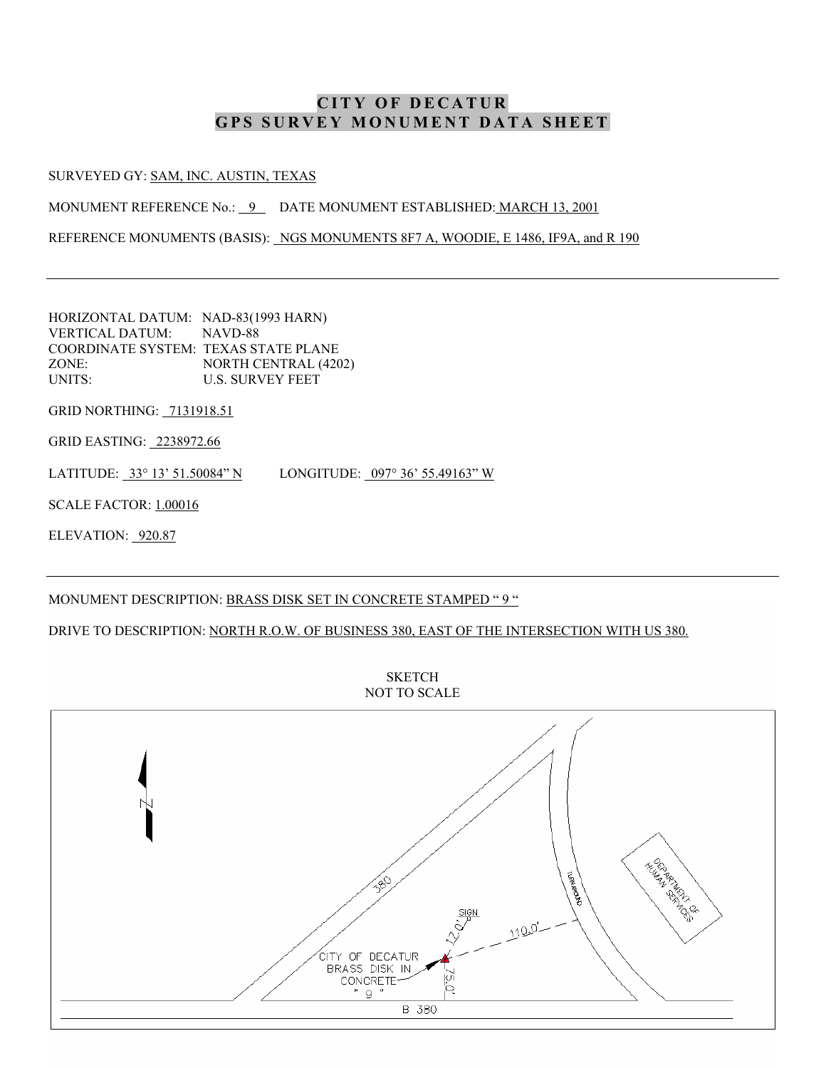#### SURVEYED GY: SAM, INC. AUSTIN, TEXAS

MONUMENT REFERENCE No.: 9 DATE MONUMENT ESTABLISHED: MARCH 13, 2001

REFERENCE MONUMENTS (BASIS): NGS MONUMENTS 8F7 A, WOODIE, E 1486, IF9A, and R 190

HORIZONTAL DATUM: NAD-83(1993 HARN) VERTICAL DATUM: NAVD-88 COORDINATE SYSTEM: TEXAS STATE PLANE ZONE: NORTH CENTRAL (4202) UNITS: U.S. SURVEY FEET

GRID NORTHING: 7131918.51

GRID EASTING: 2238972.66

LATITUDE: 33° 13' 51.50084" N LONGITUDE: 097° 36' 55.49163" W

SCALE FACTOR: 1.00016

ELEVATION: 920.87

### MONUMENT DESCRIPTION: BRASS DISK SET IN CONCRETE STAMPED "9 "

#### DRIVE TO DESCRIPTION: NORTH R.O.W. OF BUSINESS 380, EAST OF THE INTERSECTION WITH US 380.

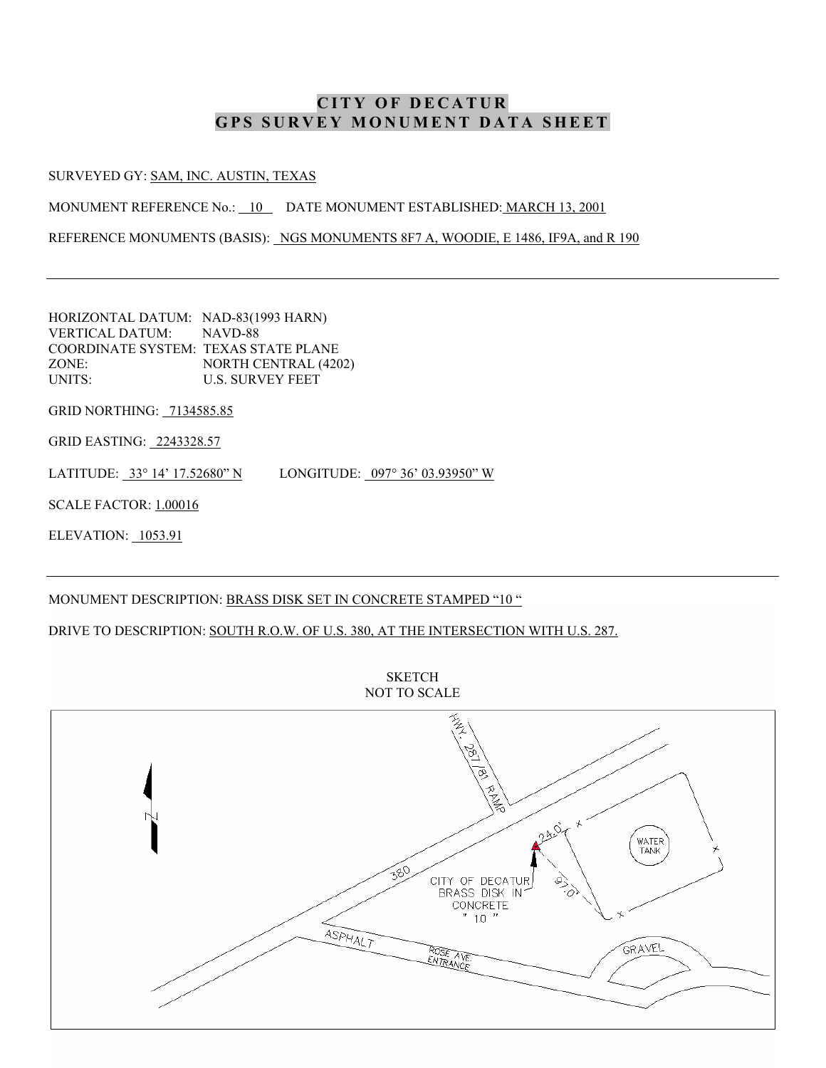#### SURVEYED GY: SAM, INC. AUSTIN, TEXAS

MONUMENT REFERENCE No.: 10 DATE MONUMENT ESTABLISHED: MARCH 13, 2001

REFERENCE MONUMENTS (BASIS): NGS MONUMENTS 8F7 A, WOODIE, E 1486, IF9A, and R 190

HORIZONTAL DATUM: NAD-83(1993 HARN) VERTICAL DATUM: NAVD-88 COORDINATE SYSTEM: TEXAS STATE PLANE ZONE: NORTH CENTRAL (4202) UNITS: U.S. SURVEY FEET

GRID NORTHING: 7134585.85

GRID EASTING: 2243328.57

LATITUDE: 33° 14' 17.52680" N LONGITUDE: 097° 36' 03.93950" W

SCALE FACTOR: 1.00016

ELEVATION: 1053.91

### MONUMENT DESCRIPTION: BRASS DISK SET IN CONCRETE STAMPED "10 "

DRIVE TO DESCRIPTION: SOUTH R.O.W. OF U.S. 380, AT THE INTERSECTION WITH U.S. 287.



**SKETCH** NOT TO SCALE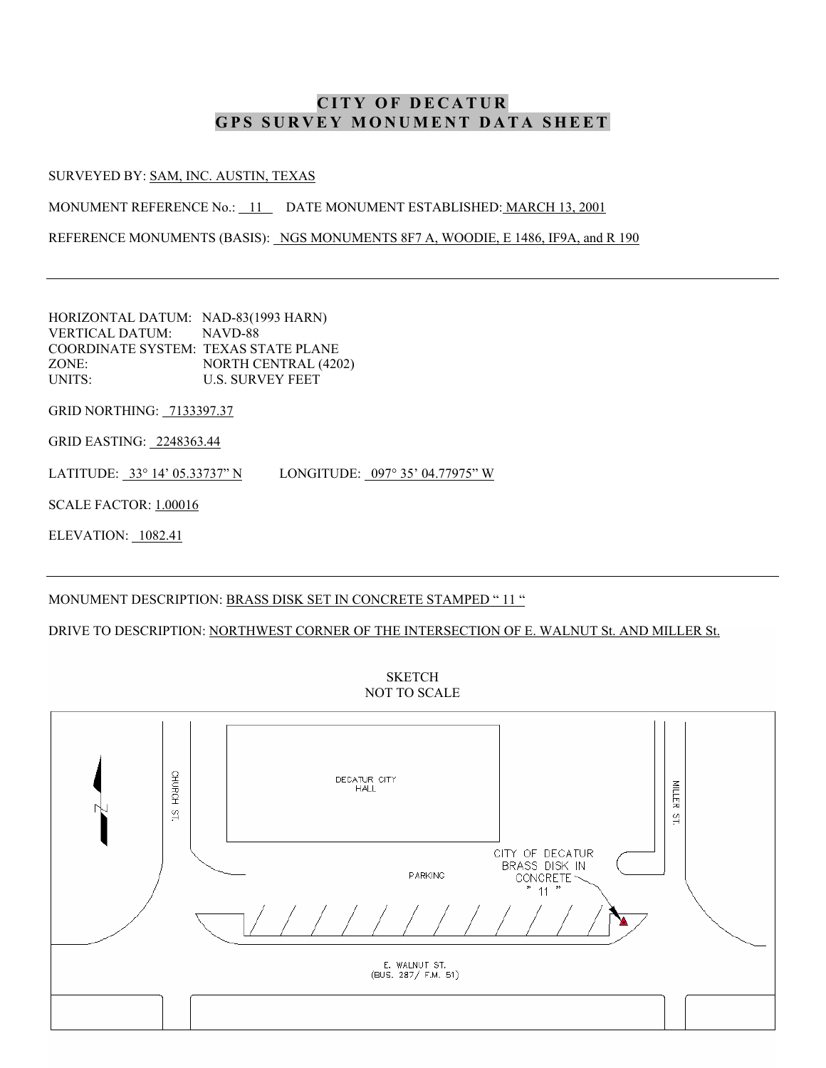#### SURVEYED BY: SAM, INC. AUSTIN, TEXAS

MONUMENT REFERENCE No.: 11 DATE MONUMENT ESTABLISHED: MARCH 13, 2001

REFERENCE MONUMENTS (BASIS): NGS MONUMENTS 8F7 A, WOODIE, E 1486, IF9A, and R 190

HORIZONTAL DATUM: NAD-83(1993 HARN) VERTICAL DATUM: NAVD-88 COORDINATE SYSTEM: TEXAS STATE PLANE ZONE: NORTH CENTRAL (4202) UNITS: U.S. SURVEY FEET

GRID NORTHING: 7133397.37

GRID EASTING: 2248363.44

LATITUDE: 33° 14' 05.33737" N LONGITUDE: 097° 35' 04.77975" W

SCALE FACTOR: 1.00016

ELEVATION: 1082.41

### MONUMENT DESCRIPTION: BRASS DISK SET IN CONCRETE STAMPED "11 "

DRIVE TO DESCRIPTION: NORTHWEST CORNER OF THE INTERSECTION OF E. WALNUT St. AND MILLER St.



**SKETCH** NOT TO SCALE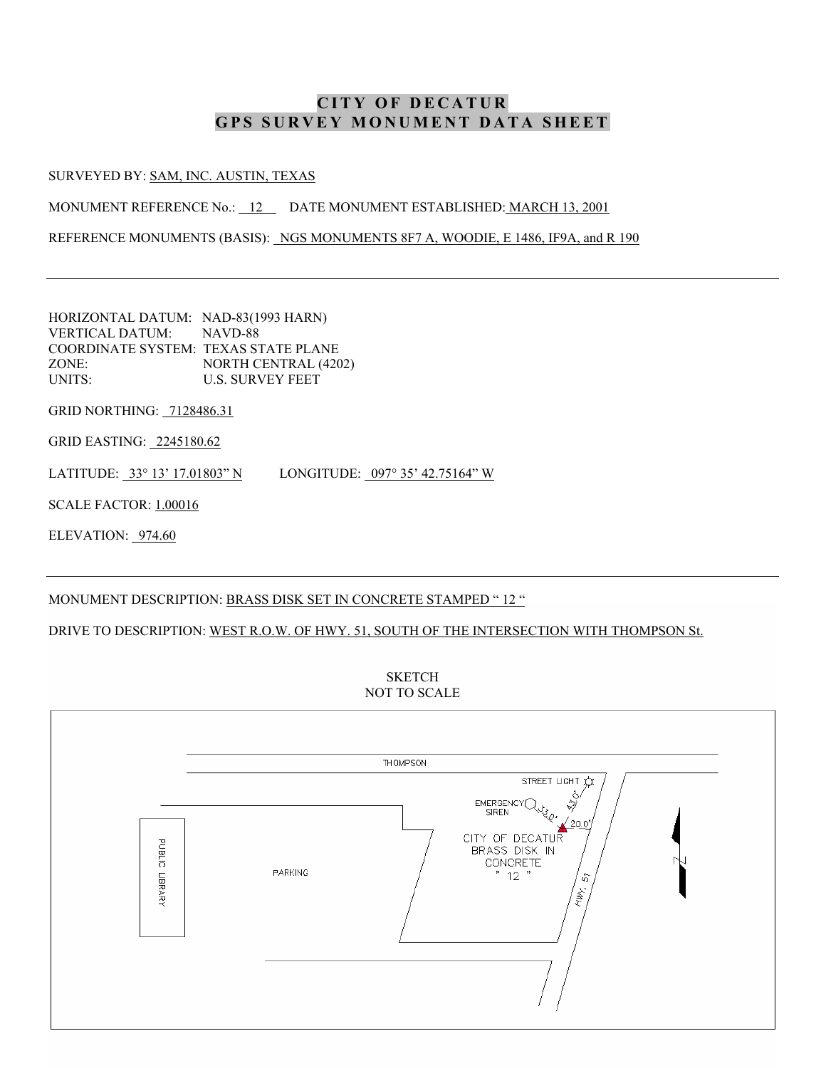#### SURVEYED BY: SAM, INC. AUSTIN, TEXAS

MONUMENT REFERENCE No.: 12 DATE MONUMENT ESTABLISHED: MARCH 13, 2001

REFERENCE MONUMENTS (BASIS): NGS MONUMENTS 8F7 A, WOODIE, E 1486, IF9A, and R 190

HORIZONTAL DATUM: NAD-83(1993 HARN) VERTICAL DATUM: NAVD-88 COORDINATE SYSTEM: TEXAS STATE PLANE ZONE: NORTH CENTRAL (4202) UNITS: U.S. SURVEY FEET

GRID NORTHING: 7128486.31

GRID EASTING: 2245180.62

LATITUDE: 33° 13' 17.01803" N LONGITUDE: 097° 35' 42.75164" W

SCALE FACTOR: 1.00016

ELEVATION: 974.60

#### MONUMENT DESCRIPTION: BRASS DISK SET IN CONCRETE STAMPED "12 "

DRIVE TO DESCRIPTION: WEST R.O.W. OF HWY. 51, SOUTH OF THE INTERSECTION WITH THOMPSON St.



**SKETCH**